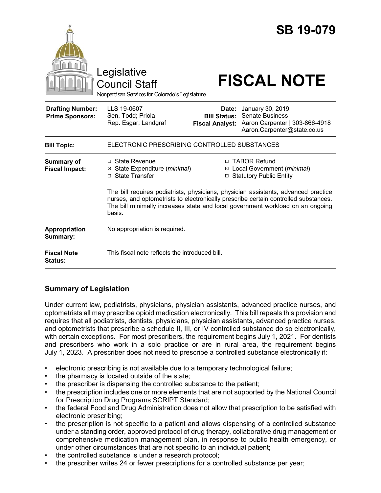|                                                   | Legislative<br><b>Council Staff</b><br>Nonpartisan Services for Colorado's Legislature                                                                                                                                                                                |                                                        | <b>SB 19-079</b><br><b>FISCAL NOTE</b>                                                                      |
|---------------------------------------------------|-----------------------------------------------------------------------------------------------------------------------------------------------------------------------------------------------------------------------------------------------------------------------|--------------------------------------------------------|-------------------------------------------------------------------------------------------------------------|
| <b>Drafting Number:</b><br><b>Prime Sponsors:</b> | LLS 19-0607<br>Sen. Todd; Priola<br>Rep. Esgar; Landgraf                                                                                                                                                                                                              | Date:<br><b>Bill Status:</b><br><b>Fiscal Analyst:</b> | January 30, 2019<br><b>Senate Business</b><br>Aaron Carpenter   303-866-4918<br>Aaron.Carpenter@state.co.us |
| <b>Bill Topic:</b>                                | ELECTRONIC PRESCRIBING CONTROLLED SUBSTANCES                                                                                                                                                                                                                          |                                                        |                                                                                                             |
| Summary of<br><b>Fiscal Impact:</b>               | $\Box$ State Revenue<br>⊠ State Expenditure ( <i>minimal</i> )<br>□ State Transfer                                                                                                                                                                                    |                                                        | □ TABOR Refund<br>⊠ Local Government (minimal)<br>□ Statutory Public Entity                                 |
|                                                   | The bill requires podiatrists, physicians, physician assistants, advanced practice<br>nurses, and optometrists to electronically prescribe certain controlled substances.<br>The bill minimally increases state and local government workload on an ongoing<br>basis. |                                                        |                                                                                                             |
| Appropriation<br>Summary:                         | No appropriation is required.                                                                                                                                                                                                                                         |                                                        |                                                                                                             |
| <b>Fiscal Note</b><br>Status:                     | This fiscal note reflects the introduced bill.                                                                                                                                                                                                                        |                                                        |                                                                                                             |

## **Summary of Legislation**

Under current law, podiatrists, physicians, physician assistants, advanced practice nurses, and optometrists all may prescribe opioid medication electronically. This bill repeals this provision and requires that all podiatrists, dentists, physicians, physician assistants, advanced practice nurses, and optometrists that prescribe a schedule II, III, or IV controlled substance do so electronically, with certain exceptions. For most prescribers, the requirement begins July 1, 2021. For dentists and prescribers who work in a solo practice or are in rural area, the requirement begins July 1, 2023. A prescriber does not need to prescribe a controlled substance electronically if:

- electronic prescribing is not available due to a temporary technological failure;
- the pharmacy is located outside of the state;
- the prescriber is dispensing the controlled substance to the patient;
- the prescription includes one or more elements that are not supported by the National Council for Prescription Drug Programs SCRIPT Standard;
- the federal Food and Drug Administration does not allow that prescription to be satisfied with electronic prescribing;
- the prescription is not specific to a patient and allows dispensing of a controlled substance under a standing order, approved protocol of drug therapy, collaborative drug management or comprehensive medication management plan, in response to public health emergency, or under other circumstances that are not specific to an individual patient;
- the controlled substance is under a research protocol;
- the prescriber writes 24 or fewer prescriptions for a controlled substance per year;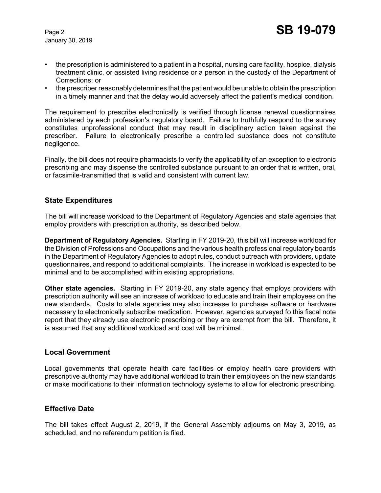January 30, 2019

- the prescription is administered to a patient in a hospital, nursing care facility, hospice, dialysis treatment clinic, or assisted living residence or a person in the custody of the Department of Corrections; or
- the prescriber reasonably determines that the patient would be unable to obtain the prescription in a timely manner and that the delay would adversely affect the patient's medical condition.

The requirement to prescribe electronically is verified through license renewal questionnaires administered by each profession's regulatory board. Failure to truthfully respond to the survey constitutes unprofessional conduct that may result in disciplinary action taken against the prescriber. Failure to electronically prescribe a controlled substance does not constitute negligence.

Finally, the bill does not require pharmacists to verify the applicability of an exception to electronic prescribing and may dispense the controlled substance pursuant to an order that is written, oral, or facsimile-transmitted that is valid and consistent with current law.

#### **State Expenditures**

The bill will increase workload to the Department of Regulatory Agencies and state agencies that employ providers with prescription authority, as described below.

**Department of Regulatory Agencies.** Starting in FY 2019-20, this bill will increase workload for the Division of Professions and Occupations and the various health professional regulatory boards in the Department of Regulatory Agencies to adopt rules, conduct outreach with providers, update questionnaires, and respond to additional complaints. The increase in workload is expected to be minimal and to be accomplished within existing appropriations.

**Other state agencies.** Starting in FY 2019-20, any state agency that employs providers with prescription authority will see an increase of workload to educate and train their employees on the new standards. Costs to state agencies may also increase to purchase software or hardware necessary to electronically subscribe medication. However, agencies surveyed fo this fiscal note report that they already use electronic prescribing or they are exempt from the bill. Therefore, it is assumed that any additional workload and cost will be minimal.

#### **Local Government**

Local governments that operate health care facilities or employ health care providers with prescriptive authority may have additional workload to train their employees on the new standards or make modifications to their information technology systems to allow for electronic prescribing.

#### **Effective Date**

The bill takes effect August 2, 2019, if the General Assembly adjourns on May 3, 2019, as scheduled, and no referendum petition is filed.